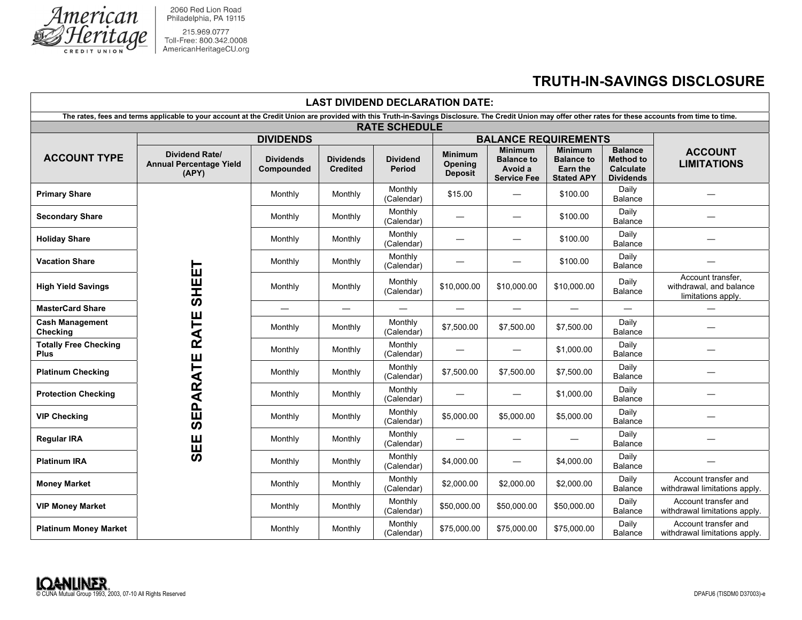

2060 Red Lion Road<br>Philadelphia, PA 19115

215.969.0777<br>Toll-Free: 800.342.0008<br>AmericanHeritageCU.org

## **TRUTH-IN-SAVINGS DISCLOSURE**

| <b>LAST DIVIDEND DECLARATION DATE:</b>                                                                                                                                                                    |                                                                  |                                |                                     |                                  |                                             |                                                                      |                                                                      |                                                                            |                                                                    |  |
|-----------------------------------------------------------------------------------------------------------------------------------------------------------------------------------------------------------|------------------------------------------------------------------|--------------------------------|-------------------------------------|----------------------------------|---------------------------------------------|----------------------------------------------------------------------|----------------------------------------------------------------------|----------------------------------------------------------------------------|--------------------------------------------------------------------|--|
| The rates, fees and terms applicable to your account at the Credit Union are provided with this Truth-in-Savings Disclosure. The Credit Union may offer other rates for these accounts from time to time. |                                                                  |                                |                                     |                                  |                                             |                                                                      |                                                                      |                                                                            |                                                                    |  |
| <b>RATE SCHEDULE</b>                                                                                                                                                                                      |                                                                  |                                |                                     |                                  |                                             |                                                                      |                                                                      |                                                                            |                                                                    |  |
|                                                                                                                                                                                                           | <b>DIVIDENDS</b>                                                 |                                |                                     |                                  | <b>BALANCE REQUIREMENTS</b>                 |                                                                      |                                                                      |                                                                            |                                                                    |  |
| <b>ACCOUNT TYPE</b>                                                                                                                                                                                       | <b>Dividend Rate/</b><br><b>Annual Percentage Yield</b><br>(APY) | <b>Dividends</b><br>Compounded | <b>Dividends</b><br><b>Credited</b> | <b>Dividend</b><br><b>Period</b> | <b>Minimum</b><br>Opening<br><b>Deposit</b> | <b>Minimum</b><br><b>Balance to</b><br>Avoid a<br><b>Service Fee</b> | <b>Minimum</b><br><b>Balance to</b><br>Earn the<br><b>Stated APY</b> | <b>Balance</b><br><b>Method to</b><br><b>Calculate</b><br><b>Dividends</b> | <b>ACCOUNT</b><br><b>LIMITATIONS</b>                               |  |
| <b>Primary Share</b>                                                                                                                                                                                      | <b>SHEE</b><br><b>RATE</b><br><b>SEPARATE</b><br><b>SEE</b>      | Monthly                        | Monthly                             | Monthly<br>(Calendar)            | \$15.00                                     |                                                                      | \$100.00                                                             | Daily<br><b>Balance</b>                                                    |                                                                    |  |
| <b>Secondary Share</b>                                                                                                                                                                                    |                                                                  | Monthly                        | Monthly                             | Monthly<br>(Calendar)            |                                             | $\overline{\phantom{0}}$                                             | \$100.00                                                             | Daily<br>Balance                                                           |                                                                    |  |
| <b>Holiday Share</b>                                                                                                                                                                                      |                                                                  | Monthly                        | Monthly                             | Monthly<br>(Calendar)            | $\overline{\phantom{0}}$                    | $\overline{\phantom{0}}$                                             | \$100.00                                                             | Daily<br>Balance                                                           |                                                                    |  |
| <b>Vacation Share</b>                                                                                                                                                                                     |                                                                  | Monthly                        | Monthly                             | Monthly<br>(Calendar)            | —                                           |                                                                      | \$100.00                                                             | Daily<br><b>Balance</b>                                                    |                                                                    |  |
| <b>High Yield Savings</b>                                                                                                                                                                                 |                                                                  | Monthly                        | Monthly                             | Monthly<br>(Calendar)            | \$10,000.00                                 | \$10,000.00                                                          | \$10,000.00                                                          | Daily<br>Balance                                                           | Account transfer,<br>withdrawal, and balance<br>limitations apply. |  |
| <b>MasterCard Share</b>                                                                                                                                                                                   |                                                                  |                                |                                     | $\qquad \qquad -$                |                                             | $\qquad \qquad -$                                                    | $\overline{\phantom{0}}$                                             | $\qquad \qquad$                                                            |                                                                    |  |
| <b>Cash Management</b><br>Checking                                                                                                                                                                        |                                                                  | Monthly                        | Monthly                             | Monthly<br>(Calendar)            | \$7,500.00                                  | \$7,500.00                                                           | \$7,500.00                                                           | Daily<br>Balance                                                           |                                                                    |  |
| <b>Totally Free Checking</b><br><b>Plus</b>                                                                                                                                                               |                                                                  | Monthly                        | Monthly                             | Monthly<br>(Calendar)            |                                             |                                                                      | \$1,000.00                                                           | Daily<br>Balance                                                           |                                                                    |  |
| <b>Platinum Checking</b>                                                                                                                                                                                  |                                                                  | Monthly                        | Monthly                             | Monthly<br>(Calendar)            | \$7,500.00                                  | \$7,500.00                                                           | \$7,500.00                                                           | Daily<br><b>Balance</b>                                                    |                                                                    |  |
| <b>Protection Checking</b>                                                                                                                                                                                |                                                                  | Monthly                        | Monthly                             | Monthly<br>(Calendar)            |                                             |                                                                      | \$1,000.00                                                           | Daily<br><b>Balance</b>                                                    |                                                                    |  |
| <b>VIP Checking</b>                                                                                                                                                                                       |                                                                  | Monthly                        | Monthly                             | Monthly<br>(Calendar)            | \$5,000.00                                  | \$5,000.00                                                           | \$5,000.00                                                           | Daily<br>Balance                                                           |                                                                    |  |
| <b>Regular IRA</b>                                                                                                                                                                                        |                                                                  | Monthly                        | Monthly                             | Monthly<br>(Calendar)            |                                             |                                                                      |                                                                      | Daily<br><b>Balance</b>                                                    |                                                                    |  |
| <b>Platinum IRA</b>                                                                                                                                                                                       |                                                                  | Monthly                        | Monthly                             | Monthly<br>(Calendar)            | \$4,000.00                                  | $\overline{\phantom{0}}$                                             | \$4,000.00                                                           | Daily<br><b>Balance</b>                                                    |                                                                    |  |
| <b>Money Market</b>                                                                                                                                                                                       |                                                                  | Monthly                        | Monthly                             | Monthly<br>(Calendar)            | \$2,000.00                                  | \$2,000.00                                                           | \$2,000.00                                                           | Daily<br>Balance                                                           | Account transfer and<br>withdrawal limitations apply.              |  |
| <b>VIP Money Market</b>                                                                                                                                                                                   |                                                                  | Monthly                        | Monthly                             | Monthly<br>(Calendar)            | \$50,000.00                                 | \$50,000.00                                                          | \$50,000.00                                                          | Daily<br>Balance                                                           | Account transfer and<br>withdrawal limitations apply.              |  |
| <b>Platinum Money Market</b>                                                                                                                                                                              |                                                                  | Monthly                        | Monthly                             | Monthly<br>(Calendar)            | \$75,000.00                                 | \$75,000.00                                                          | \$75,000.00                                                          | Daily<br>Balance                                                           | Account transfer and<br>withdrawal limitations apply.              |  |